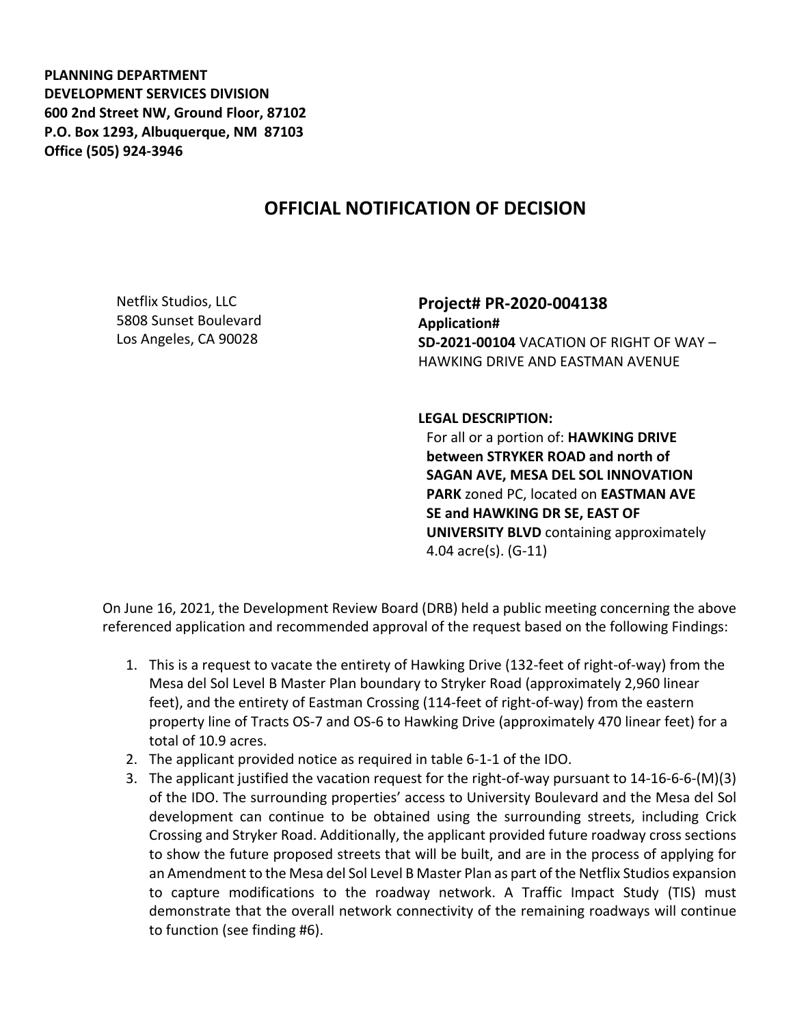**PLANNING DEPARTMENT DEVELOPMENT SERVICES DIVISION 600 2nd Street NW, Ground Floor, 87102 P.O. Box 1293, Albuquerque, NM 87103 Office (505) 924-3946** 

## **OFFICIAL NOTIFICATION OF DECISION**

Netflix Studios, LLC 5808 Sunset Boulevard Los Angeles, CA 90028

**Project# PR-2020-004138 Application# SD-2021-00104** VACATION OF RIGHT OF WAY – HAWKING DRIVE AND EASTMAN AVENUE

## **LEGAL DESCRIPTION:**

For all or a portion of: **HAWKING DRIVE between STRYKER ROAD and north of SAGAN AVE, MESA DEL SOL INNOVATION PARK** zoned PC, located on **EASTMAN AVE SE and HAWKING DR SE, EAST OF UNIVERSITY BLVD** containing approximately 4.04 acre(s). (G-11)

On June 16, 2021, the Development Review Board (DRB) held a public meeting concerning the above referenced application and recommended approval of the request based on the following Findings:

- 1. This is a request to vacate the entirety of Hawking Drive (132-feet of right-of-way) from the Mesa del Sol Level B Master Plan boundary to Stryker Road (approximately 2,960 linear feet), and the entirety of Eastman Crossing (114-feet of right-of-way) from the eastern property line of Tracts OS-7 and OS-6 to Hawking Drive (approximately 470 linear feet) for a total of 10.9 acres.
- 2. The applicant provided notice as required in table 6-1-1 of the IDO.
- 3. The applicant justified the vacation request for the right-of-way pursuant to 14-16-6-6-(M)(3) of the IDO. The surrounding properties' access to University Boulevard and the Mesa del Sol development can continue to be obtained using the surrounding streets, including Crick Crossing and Stryker Road. Additionally, the applicant provided future roadway cross sections to show the future proposed streets that will be built, and are in the process of applying for an Amendment to the Mesa del Sol Level B Master Plan as part of the Netflix Studios expansion to capture modifications to the roadway network. A Traffic Impact Study (TIS) must demonstrate that the overall network connectivity of the remaining roadways will continue to function (see finding #6).